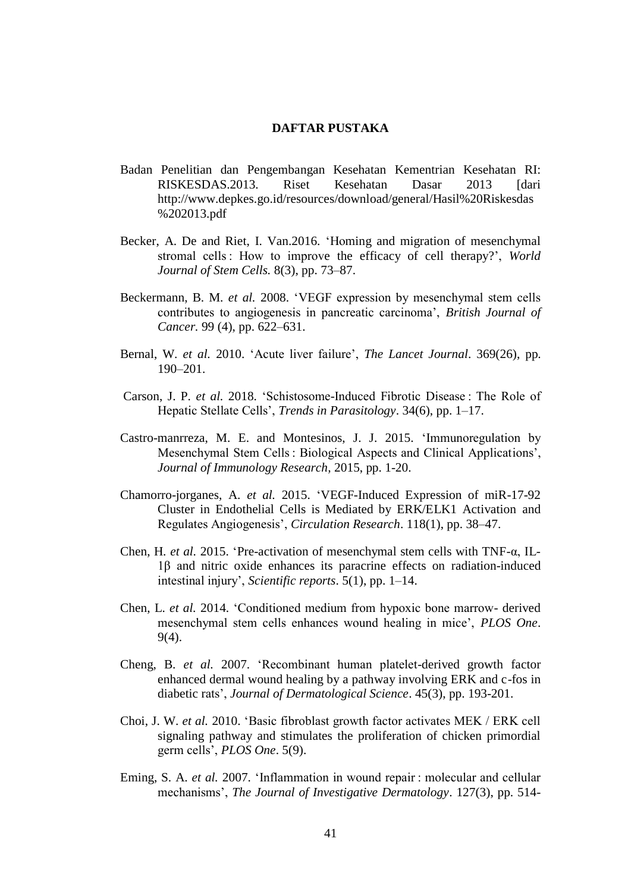## **DAFTAR PUSTAKA**

- Badan Penelitian dan Pengembangan Kesehatan Kementrian Kesehatan RI: RISKESDAS.2013. Riset Kesehatan Dasar 2013 [dari http://www.depkes.go.id/resources/download/general/Hasil%20Riskesdas %202013.pdf
- Becker, A. De and Riet, I. Van.2016. 'Homing and migration of mesenchymal stromal cells : How to improve the efficacy of cell therapy?', *World Journal of Stem Cells.* 8(3), pp. 73–87.
- Beckermann, B. M. *et al.* 2008. 'VEGF expression by mesenchymal stem cells contributes to angiogenesis in pancreatic carcinoma', *British Journal of Cancer.* 99 (4), pp. 622–631.
- Bernal, W. *et al.* 2010. 'Acute liver failure', *The Lancet Journal*. 369(26), pp. 190–201.
- Carson, J. P. *et al.* 2018. 'Schistosome-Induced Fibrotic Disease : The Role of Hepatic Stellate Cells', *Trends in Parasitology*. 34(6), pp. 1–17.
- Castro-manrreza, M. E. and Montesinos, J. J. 2015. 'Immunoregulation by Mesenchymal Stem Cells : Biological Aspects and Clinical Applications', *Journal of Immunology Research,* 2015, pp. 1-20.
- Chamorro-jorganes, A. *et al.* 2015. 'VEGF-Induced Expression of miR-17-92 Cluster in Endothelial Cells is Mediated by ERK/ELK1 Activation and Regulates Angiogenesis', *Circulation Research*. 118(1), pp. 38–47.
- Chen, H. *et al.* 2015. 'Pre-activation of mesenchymal stem cells with TNF-α, IL-1β and nitric oxide enhances its paracrine effects on radiation-induced intestinal injury', *Scientific reports*. 5(1), pp. 1–14.
- Chen, L. *et al.* 2014. 'Conditioned medium from hypoxic bone marrow- derived mesenchymal stem cells enhances wound healing in mice', *PLOS One*. 9(4).
- Cheng, B. *et al.* 2007. 'Recombinant human platelet-derived growth factor enhanced dermal wound healing by a pathway involving ERK and c-fos in diabetic rats', *Journal of Dermatological Science*. 45(3), pp. 193-201.
- Choi, J. W. *et al.* 2010. 'Basic fibroblast growth factor activates MEK / ERK cell signaling pathway and stimulates the proliferation of chicken primordial germ cells', *PLOS One*. 5(9).
- Eming, S. A. *et al.* 2007. 'Inflammation in wound repair : molecular and cellular mechanisms', *The Journal of Investigative Dermatology*. 127(3), pp. 514-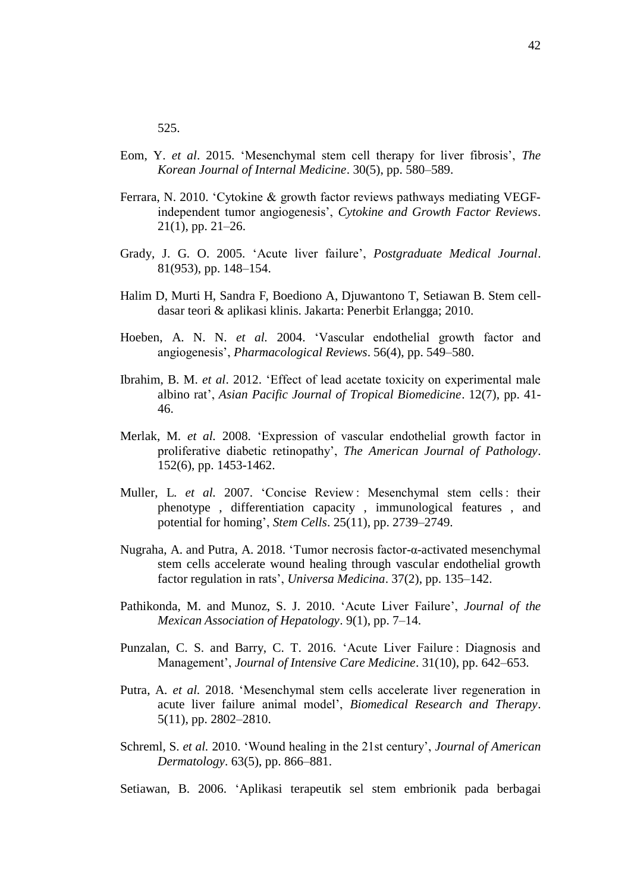- Eom, Y. *et al*. 2015. 'Mesenchymal stem cell therapy for liver fibrosis', *The Korean Journal of Internal Medicine*. 30(5), pp. 580–589.
- Ferrara, N. 2010. 'Cytokine & growth factor reviews pathways mediating VEGFindependent tumor angiogenesis', *Cytokine and Growth Factor Reviews*. 21(1), pp. 21–26.
- Grady, J. G. O. 2005. 'Acute liver failure', *Postgraduate Medical Journal*. 81(953), pp. 148–154.
- Halim D, Murti H, Sandra F, Boediono A, Djuwantono T, Setiawan B. Stem celldasar teori & aplikasi klinis. Jakarta: Penerbit Erlangga; 2010.
- Hoeben, A. N. N. *et al.* 2004. 'Vascular endothelial growth factor and angiogenesis', *Pharmacological Reviews*. 56(4), pp. 549–580.
- Ibrahim, B. M. *et al*. 2012. 'Effect of lead acetate toxicity on experimental male albino rat', *Asian Pacific Journal of Tropical Biomedicine*. 12(7), pp. 41- 46.
- Merlak, M. *et al.* 2008. 'Expression of vascular endothelial growth factor in proliferative diabetic retinopathy', *The American Journal of Pathology*. 152(6), pp. 1453-1462.
- Muller, L. et al. 2007. 'Concise Review: Mesenchymal stem cells : their phenotype , differentiation capacity , immunological features , and potential for homing', *Stem Cells*. 25(11), pp. 2739–2749.
- Nugraha, A. and Putra, A. 2018. 'Tumor necrosis factor-α-activated mesenchymal stem cells accelerate wound healing through vascular endothelial growth factor regulation in rats', *Universa Medicina*. 37(2), pp. 135–142.
- Pathikonda, M. and Munoz, S. J. 2010. 'Acute Liver Failure', *Journal of the Mexican Association of Hepatology*. 9(1), pp. 7–14.
- Punzalan, C. S. and Barry, C. T. 2016. 'Acute Liver Failure : Diagnosis and Management', *Journal of Intensive Care Medicine*. 31(10), pp. 642–653.
- Putra, A. *et al.* 2018. 'Mesenchymal stem cells accelerate liver regeneration in acute liver failure animal model', *Biomedical Research and Therapy*. 5(11), pp. 2802–2810.
- Schreml, S. *et al.* 2010. 'Wound healing in the 21st century', *Journal of American Dermatology*. 63(5), pp. 866–881.
- Setiawan, B. 2006. 'Aplikasi terapeutik sel stem embrionik pada berbagai